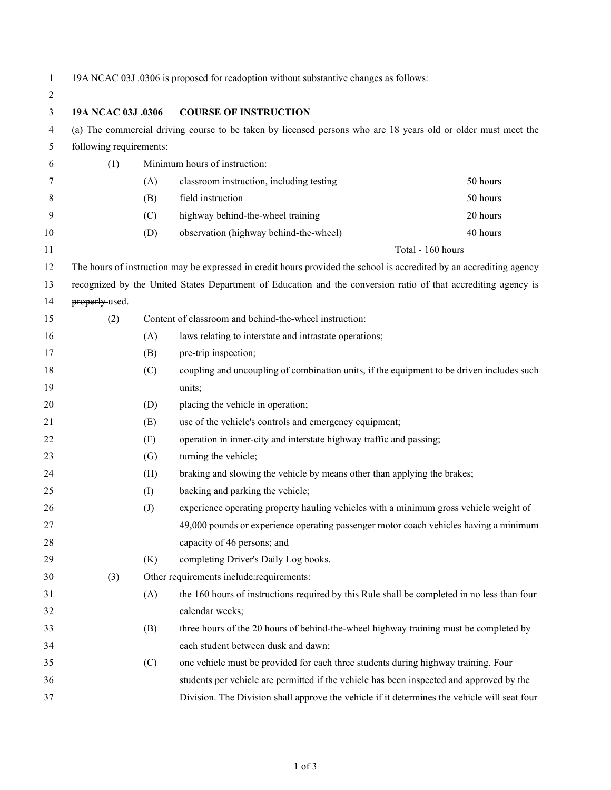- 
- 19A NCAC 03J .0306 is proposed for readoption without substantive changes as follows:

| $\overline{c}$ |                                                                                                                |                                                    |                                                                                                                      |                   |  |  |
|----------------|----------------------------------------------------------------------------------------------------------------|----------------------------------------------------|----------------------------------------------------------------------------------------------------------------------|-------------------|--|--|
| 3              |                                                                                                                | 19A NCAC 03J .0306<br><b>COURSE OF INSTRUCTION</b> |                                                                                                                      |                   |  |  |
| 4              | (a) The commercial driving course to be taken by licensed persons who are 18 years old or older must meet the  |                                                    |                                                                                                                      |                   |  |  |
| 5              | following requirements:                                                                                        |                                                    |                                                                                                                      |                   |  |  |
| 6              | (1)                                                                                                            |                                                    | Minimum hours of instruction:                                                                                        |                   |  |  |
| 7              |                                                                                                                | (A)                                                | classroom instruction, including testing                                                                             | 50 hours          |  |  |
| 8              |                                                                                                                | (B)                                                | field instruction                                                                                                    | 50 hours          |  |  |
| 9              |                                                                                                                | (C)                                                | highway behind-the-wheel training                                                                                    | 20 hours          |  |  |
| 10             |                                                                                                                | (D)                                                | observation (highway behind-the-wheel)                                                                               | 40 hours          |  |  |
| 11             |                                                                                                                |                                                    |                                                                                                                      | Total - 160 hours |  |  |
| 12             |                                                                                                                |                                                    | The hours of instruction may be expressed in credit hours provided the school is accredited by an accrediting agency |                   |  |  |
| 13             | recognized by the United States Department of Education and the conversion ratio of that accrediting agency is |                                                    |                                                                                                                      |                   |  |  |
| 14             | properly-used.                                                                                                 |                                                    |                                                                                                                      |                   |  |  |
| 15             | (2)                                                                                                            |                                                    | Content of classroom and behind-the-wheel instruction:                                                               |                   |  |  |
| 16             |                                                                                                                | (A)                                                | laws relating to interstate and intrastate operations;                                                               |                   |  |  |
| 17             |                                                                                                                | (B)                                                | pre-trip inspection;                                                                                                 |                   |  |  |
| 18             |                                                                                                                | (C)                                                | coupling and uncoupling of combination units, if the equipment to be driven includes such                            |                   |  |  |
| 19             |                                                                                                                |                                                    | units;                                                                                                               |                   |  |  |
| 20             |                                                                                                                | (D)                                                | placing the vehicle in operation;                                                                                    |                   |  |  |
| 21             |                                                                                                                | (E)                                                | use of the vehicle's controls and emergency equipment;                                                               |                   |  |  |
| 22             |                                                                                                                | (F)                                                | operation in inner-city and interstate highway traffic and passing;                                                  |                   |  |  |
| 23             |                                                                                                                | (G)                                                | turning the vehicle;                                                                                                 |                   |  |  |
| 24             |                                                                                                                | (H)                                                | braking and slowing the vehicle by means other than applying the brakes;                                             |                   |  |  |
| 25             |                                                                                                                | (I)                                                | backing and parking the vehicle;                                                                                     |                   |  |  |
| 26             |                                                                                                                | (J)                                                | experience operating property hauling vehicles with a minimum gross vehicle weight of                                |                   |  |  |
| 27             |                                                                                                                |                                                    | 49,000 pounds or experience operating passenger motor coach vehicles having a minimum                                |                   |  |  |
| 28             |                                                                                                                |                                                    | capacity of 46 persons; and                                                                                          |                   |  |  |
| 29             |                                                                                                                | (K)                                                | completing Driver's Daily Log books.                                                                                 |                   |  |  |
| 30             | (3)                                                                                                            |                                                    | Other requirements include: requirements:                                                                            |                   |  |  |
| 31             |                                                                                                                | (A)                                                | the 160 hours of instructions required by this Rule shall be completed in no less than four                          |                   |  |  |
| 32             |                                                                                                                |                                                    | calendar weeks;                                                                                                      |                   |  |  |
| 33             |                                                                                                                | (B)                                                | three hours of the 20 hours of behind-the-wheel highway training must be completed by                                |                   |  |  |
| 34             |                                                                                                                |                                                    | each student between dusk and dawn;                                                                                  |                   |  |  |
| 35             |                                                                                                                | (C)                                                | one vehicle must be provided for each three students during highway training. Four                                   |                   |  |  |
| 36             |                                                                                                                |                                                    | students per vehicle are permitted if the vehicle has been inspected and approved by the                             |                   |  |  |
| 37             |                                                                                                                |                                                    | Division. The Division shall approve the vehicle if it determines the vehicle will seat four                         |                   |  |  |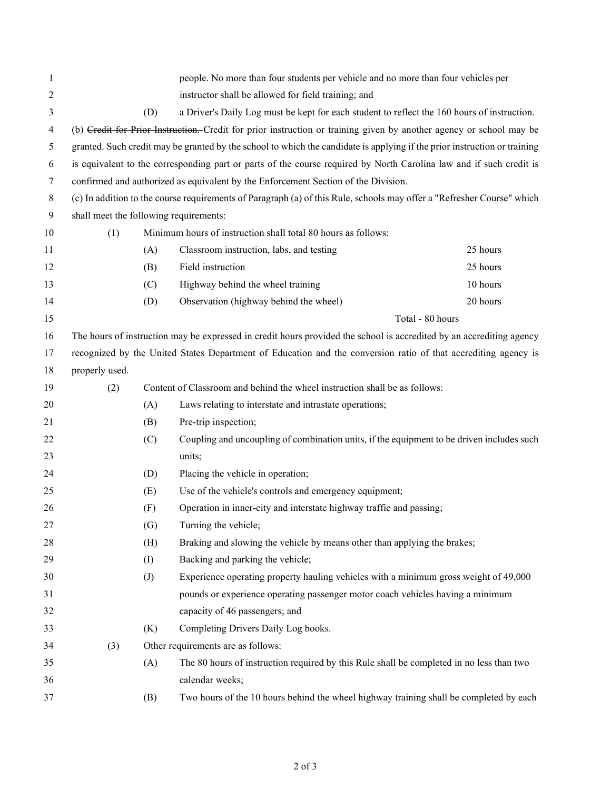| 1                |                                                                                                                           |     | people. No more than four students per vehicle and no more than four vehicles per           |                  |  |  |
|------------------|---------------------------------------------------------------------------------------------------------------------------|-----|---------------------------------------------------------------------------------------------|------------------|--|--|
| 2                |                                                                                                                           |     | instructor shall be allowed for field training; and                                         |                  |  |  |
| 3                |                                                                                                                           | (D) | a Driver's Daily Log must be kept for each student to reflect the 160 hours of instruction. |                  |  |  |
| 4                | (b) Credit for Prior Instruction. Credit for prior instruction or training given by another agency or school may be       |     |                                                                                             |                  |  |  |
| 5                | granted. Such credit may be granted by the school to which the candidate is applying if the prior instruction or training |     |                                                                                             |                  |  |  |
| 6                | is equivalent to the corresponding part or parts of the course required by North Carolina law and if such credit is       |     |                                                                                             |                  |  |  |
| 7                |                                                                                                                           |     | confirmed and authorized as equivalent by the Enforcement Section of the Division.          |                  |  |  |
| 8                | (c) In addition to the course requirements of Paragraph (a) of this Rule, schools may offer a "Refresher Course" which    |     |                                                                                             |                  |  |  |
| $\boldsymbol{9}$ | shall meet the following requirements:                                                                                    |     |                                                                                             |                  |  |  |
| 10               | Minimum hours of instruction shall total 80 hours as follows:<br>(1)                                                      |     |                                                                                             |                  |  |  |
| 11               |                                                                                                                           | (A) | Classroom instruction, labs, and testing                                                    | 25 hours         |  |  |
| 12               |                                                                                                                           | (B) | Field instruction                                                                           | 25 hours         |  |  |
| 13               |                                                                                                                           | (C) | Highway behind the wheel training                                                           | 10 hours         |  |  |
| 14               |                                                                                                                           | (D) | Observation (highway behind the wheel)                                                      | 20 hours         |  |  |
| 15               |                                                                                                                           |     |                                                                                             | Total - 80 hours |  |  |
| 16               | The hours of instruction may be expressed in credit hours provided the school is accredited by an accrediting agency      |     |                                                                                             |                  |  |  |
| 17               | recognized by the United States Department of Education and the conversion ratio of that accrediting agency is            |     |                                                                                             |                  |  |  |
| 18               | properly used.                                                                                                            |     |                                                                                             |                  |  |  |
| 19               | (2)                                                                                                                       |     | Content of Classroom and behind the wheel instruction shall be as follows:                  |                  |  |  |
| 20               |                                                                                                                           | (A) | Laws relating to interstate and intrastate operations;                                      |                  |  |  |
| 21               |                                                                                                                           | (B) | Pre-trip inspection;                                                                        |                  |  |  |
| 22               |                                                                                                                           | (C) | Coupling and uncoupling of combination units, if the equipment to be driven includes such   |                  |  |  |
| 23               |                                                                                                                           |     | units;                                                                                      |                  |  |  |
| 24               |                                                                                                                           | (D) | Placing the vehicle in operation;                                                           |                  |  |  |
| 25               |                                                                                                                           | (E) | Use of the vehicle's controls and emergency equipment;                                      |                  |  |  |
| 26               |                                                                                                                           | (F) | Operation in inner-city and interstate highway traffic and passing;                         |                  |  |  |
| 27               |                                                                                                                           | (G) | Turning the vehicle;                                                                        |                  |  |  |
| 28               |                                                                                                                           | (H) | Braking and slowing the vehicle by means other than applying the brakes;                    |                  |  |  |
| 29               |                                                                                                                           | (I) | Backing and parking the vehicle;                                                            |                  |  |  |
| 30               |                                                                                                                           | (J) | Experience operating property hauling vehicles with a minimum gross weight of 49,000        |                  |  |  |
| 31               |                                                                                                                           |     | pounds or experience operating passenger motor coach vehicles having a minimum              |                  |  |  |
| 32               |                                                                                                                           |     | capacity of 46 passengers; and                                                              |                  |  |  |
| 33               |                                                                                                                           | (K) | Completing Drivers Daily Log books.                                                         |                  |  |  |
| 34               | (3)                                                                                                                       |     | Other requirements are as follows:                                                          |                  |  |  |
| 35               |                                                                                                                           | (A) | The 80 hours of instruction required by this Rule shall be completed in no less than two    |                  |  |  |
| 36               |                                                                                                                           |     | calendar weeks;                                                                             |                  |  |  |
| 37               |                                                                                                                           | (B) | Two hours of the 10 hours behind the wheel highway training shall be completed by each      |                  |  |  |